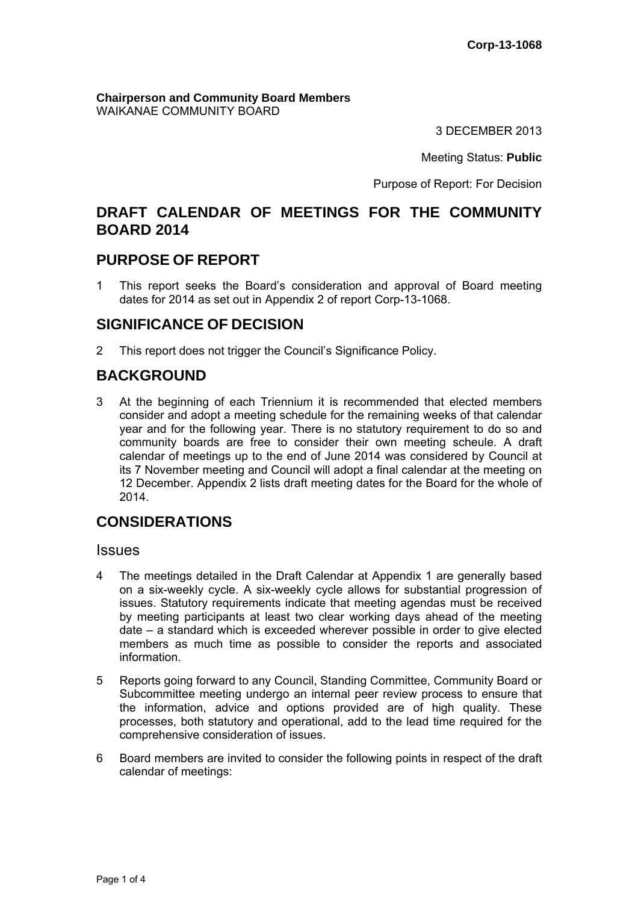**Chairperson and Community Board Members** WAIKANAE COMMUNITY BOARD

3 DECEMBER 2013

Meeting Status: **Public**

Purpose of Report: For Decision

## **DRAFT CALENDAR OF MEETINGS FOR THE COMMUNITY BOARD 2014**

## **PURPOSE OF REPORT**

1 This report seeks the Board's consideration and approval of Board meeting dates for 2014 as set out in Appendix 2 of report Corp-13-1068.

## **SIGNIFICANCE OF DECISION**

2 This report does not trigger the Council's Significance Policy.

# **BACKGROUND**

3 At the beginning of each Triennium it is recommended that elected members consider and adopt a meeting schedule for the remaining weeks of that calendar year and for the following year. There is no statutory requirement to do so and community boards are free to consider their own meeting scheule. A draft calendar of meetings up to the end of June 2014 was considered by Council at its 7 November meeting and Council will adopt a final calendar at the meeting on 12 December. Appendix 2 lists draft meeting dates for the Board for the whole of 2014.

# **CONSIDERATIONS**

### Issues

- 4 The meetings detailed in the Draft Calendar at Appendix 1 are generally based on a six-weekly cycle. A six-weekly cycle allows for substantial progression of issues. Statutory requirements indicate that meeting agendas must be received by meeting participants at least two clear working days ahead of the meeting date – a standard which is exceeded wherever possible in order to give elected members as much time as possible to consider the reports and associated information.
- 5 Reports going forward to any Council, Standing Committee, Community Board or Subcommittee meeting undergo an internal peer review process to ensure that the information, advice and options provided are of high quality. These processes, both statutory and operational, add to the lead time required for the comprehensive consideration of issues.
- 6 Board members are invited to consider the following points in respect of the draft calendar of meetings: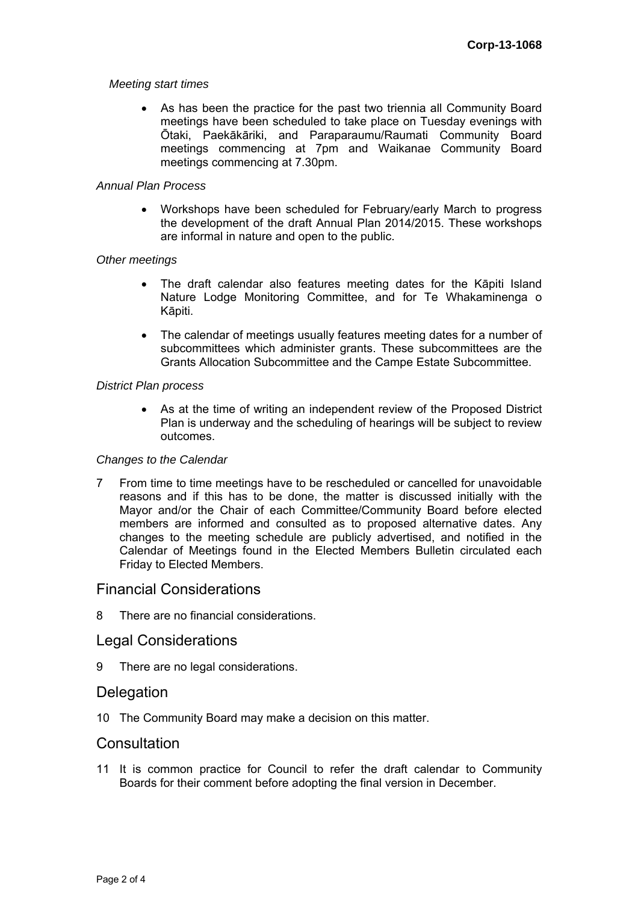#### *Meeting start times*

 As has been the practice for the past two triennia all Community Board meetings have been scheduled to take place on Tuesday evenings with Ōtaki, Paekākāriki, and Paraparaumu/Raumati Community Board meetings commencing at 7pm and Waikanae Community Board meetings commencing at 7.30pm.

### *Annual Plan Process*

 Workshops have been scheduled for February/early March to progress the development of the draft Annual Plan 2014/2015. These workshops are informal in nature and open to the public.

### *Other meetings*

- The draft calendar also features meeting dates for the Kāpiti Island Nature Lodge Monitoring Committee, and for Te Whakaminenga o Kāpiti.
- The calendar of meetings usually features meeting dates for a number of subcommittees which administer grants. These subcommittees are the Grants Allocation Subcommittee and the Campe Estate Subcommittee.

### *District Plan process*

 As at the time of writing an independent review of the Proposed District Plan is underway and the scheduling of hearings will be subject to review outcomes.

#### *Changes to the Calendar*

7 From time to time meetings have to be rescheduled or cancelled for unavoidable reasons and if this has to be done, the matter is discussed initially with the Mayor and/or the Chair of each Committee/Community Board before elected members are informed and consulted as to proposed alternative dates. Any changes to the meeting schedule are publicly advertised, and notified in the Calendar of Meetings found in the Elected Members Bulletin circulated each Friday to Elected Members.

### Financial Considerations

8 There are no financial considerations.

### Legal Considerations

9 There are no legal considerations.

### Delegation

10 The Community Board may make a decision on this matter.

### **Consultation**

11 It is common practice for Council to refer the draft calendar to Community Boards for their comment before adopting the final version in December.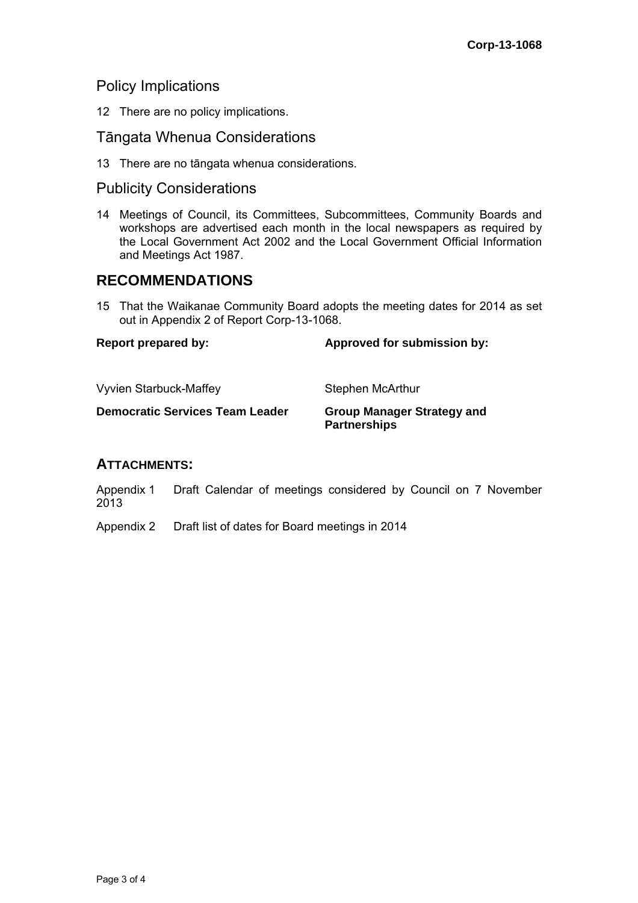## Policy Implications

12 There are no policy implications.

## Tāngata Whenua Considerations

13 There are no tāngata whenua considerations.

# Publicity Considerations

14 Meetings of Council, its Committees, Subcommittees, Community Boards and workshops are advertised each month in the local newspapers as required by the Local Government Act 2002 and the Local Government Official Information and Meetings Act 1987.

## **RECOMMENDATIONS**

15 That the Waikanae Community Board adopts the meeting dates for 2014 as set out in Appendix 2 of Report Corp-13-1068.

| <b>Report prepared by:</b>             | Approved for submission by:                              |
|----------------------------------------|----------------------------------------------------------|
| <b>Vyvien Starbuck-Maffey</b>          | Stephen McArthur                                         |
| <b>Democratic Services Team Leader</b> | <b>Group Manager Strategy and</b><br><b>Partnerships</b> |

### **ATTACHMENTS:**

Appendix 1 Draft Calendar of meetings considered by Council on 7 November 2013

Appendix 2 Draft list of dates for Board meetings in 2014